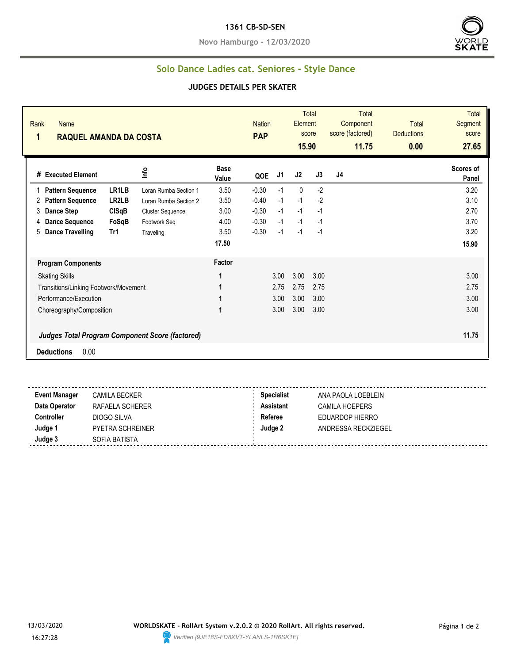#### **1361 CB-SD-SEN**

**Novo Hamburgo - 12/03/2020**



## **Solo Dance Ladies cat. Seniores - Style Dance**

### **JUDGES DETAILS PER SKATER**

| Rank<br><b>Name</b><br>1<br><b>RAQUEL AMANDA DA COSTA</b> |              |                         |                      | <b>Nation</b><br><b>PAP</b> |      | <b>Total</b><br>Element<br>score<br>15.90 |      | <b>Total</b><br>Component<br>score (factored)<br>11.75 | <b>Total</b><br><b>Deductions</b><br>0.00 | <b>Total</b><br>Segment<br>score<br>27.65 |
|-----------------------------------------------------------|--------------|-------------------------|----------------------|-----------------------------|------|-------------------------------------------|------|--------------------------------------------------------|-------------------------------------------|-------------------------------------------|
| # Executed Element                                        |              | ١۴                      | <b>Base</b><br>Value | QOE                         | J1   | J2                                        | J3   | J4                                                     |                                           | Scores of<br>Panel                        |
| <b>Pattern Sequence</b>                                   | LR1LB        | Loran Rumba Section 1   | 3.50                 | $-0.30$                     | $-1$ | $\mathbf 0$                               | $-2$ |                                                        |                                           | 3.20                                      |
| <b>Pattern Sequence</b><br>2                              | LR2LB        | Loran Rumba Section 2   | 3.50                 | $-0.40$                     | $-1$ | $-1$                                      | $-2$ |                                                        |                                           | 3.10                                      |
| <b>Dance Step</b><br>3                                    | <b>CISqB</b> | <b>Cluster Sequence</b> | 3.00                 | $-0.30$                     | $-1$ | $-1$                                      | $-1$ |                                                        |                                           | 2.70                                      |
| <b>Dance Sequence</b><br>4                                | FoSqB        | Footwork Seq            | 4.00                 | $-0.30$                     | $-1$ | $-1$                                      | $-1$ |                                                        |                                           | 3.70                                      |
| <b>Dance Travelling</b><br>5                              | Tr1          | Traveling               | 3.50                 | $-0.30$                     | $-1$ | $-1$                                      | $-1$ |                                                        |                                           | 3.20                                      |
|                                                           |              |                         | 17.50                |                             |      |                                           |      |                                                        |                                           | 15.90                                     |
| <b>Program Components</b>                                 |              |                         | Factor               |                             |      |                                           |      |                                                        |                                           |                                           |
| <b>Skating Skills</b>                                     |              |                         | 1                    |                             | 3.00 | 3.00                                      | 3.00 |                                                        |                                           | 3.00                                      |
| Transitions/Linking Footwork/Movement                     |              |                         |                      |                             | 2.75 | 2.75                                      | 2.75 |                                                        |                                           | 2.75                                      |
| Performance/Execution                                     |              |                         | 1                    |                             | 3.00 | 3.00                                      | 3.00 |                                                        |                                           | 3.00                                      |
| Choreography/Composition                                  |              |                         |                      |                             | 3.00 | 3.00                                      | 3.00 |                                                        |                                           | 3.00                                      |
| <b>Judges Total Program Component Score (factored)</b>    |              |                         |                      |                             |      |                                           |      |                                                        |                                           | 11.75                                     |
| 0.00<br><b>Deductions</b>                                 |              |                         |                      |                             |      |                                           |      |                                                        |                                           |                                           |
|                                                           |              |                         |                      |                             |      |                                           |      |                                                        |                                           |                                           |

**Event Manager** CAMILA BECKER **Specialist** ANA PAOLA LOEBLEIN **Data Operator RAFAELA SCHERER <b>Assistant** CAMILA HOEPERS **Controller** DIOGO SILVA **Referee** EDUARDOP HIERRO **Judge 1** PYETRA SCHREINER **Judge 2** ANDRESSA RECKZIEGEL **Judge 3** SOFIA BATISTA -----------------------